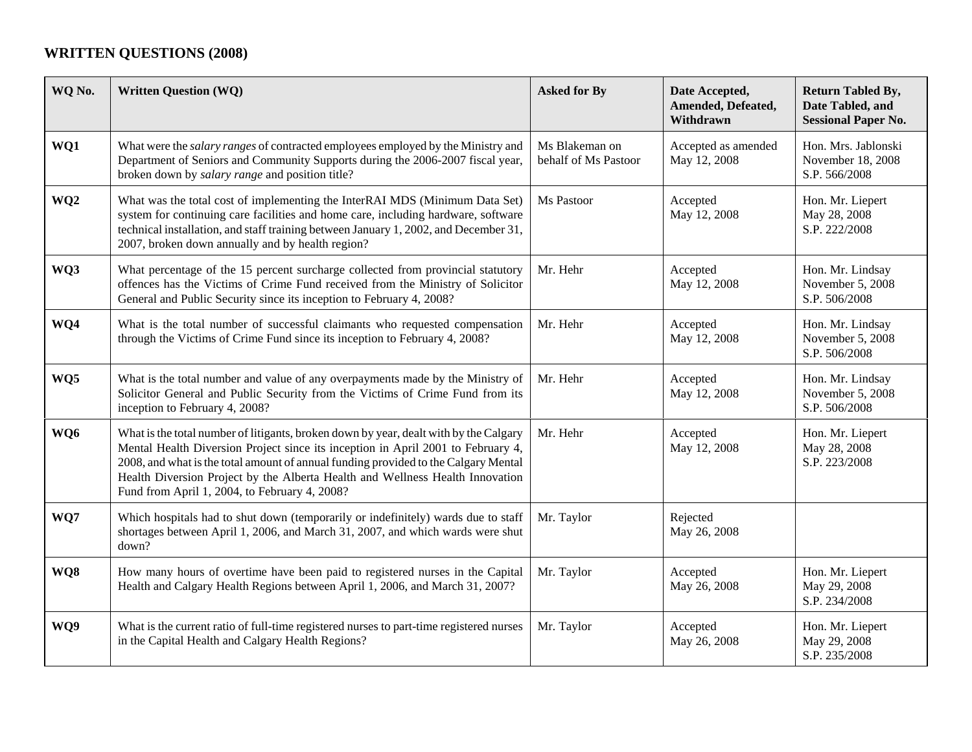## **WRITTEN QUESTIONS (2008)**

| WQ No.          | <b>Written Question (WQ)</b>                                                                                                                                                                                                                                                                                                                                                                       | <b>Asked for By</b>                    | Date Accepted,<br>Amended, Defeated,<br>Withdrawn | <b>Return Tabled By,</b><br>Date Tabled, and<br><b>Sessional Paper No.</b> |
|-----------------|----------------------------------------------------------------------------------------------------------------------------------------------------------------------------------------------------------------------------------------------------------------------------------------------------------------------------------------------------------------------------------------------------|----------------------------------------|---------------------------------------------------|----------------------------------------------------------------------------|
| WQ1             | What were the <i>salary ranges</i> of contracted employees employed by the Ministry and<br>Department of Seniors and Community Supports during the 2006-2007 fiscal year,<br>broken down by salary range and position title?                                                                                                                                                                       | Ms Blakeman on<br>behalf of Ms Pastoor | Accepted as amended<br>May 12, 2008               | Hon. Mrs. Jablonski<br>November 18, 2008<br>S.P. 566/2008                  |
| WQ <sub>2</sub> | What was the total cost of implementing the InterRAI MDS (Minimum Data Set)<br>system for continuing care facilities and home care, including hardware, software<br>technical installation, and staff training between January 1, 2002, and December 31,<br>2007, broken down annually and by health region?                                                                                       | Ms Pastoor                             | Accepted<br>May 12, 2008                          | Hon. Mr. Liepert<br>May 28, 2008<br>S.P. 222/2008                          |
| WQ3             | What percentage of the 15 percent surcharge collected from provincial statutory<br>offences has the Victims of Crime Fund received from the Ministry of Solicitor<br>General and Public Security since its inception to February 4, 2008?                                                                                                                                                          | Mr. Hehr                               | Accepted<br>May 12, 2008                          | Hon. Mr. Lindsay<br>November 5, 2008<br>S.P. 506/2008                      |
| WQ4             | What is the total number of successful claimants who requested compensation<br>through the Victims of Crime Fund since its inception to February 4, 2008?                                                                                                                                                                                                                                          | Mr. Hehr                               | Accepted<br>May 12, 2008                          | Hon. Mr. Lindsay<br>November 5, 2008<br>S.P. 506/2008                      |
| WQ5             | What is the total number and value of any overpayments made by the Ministry of<br>Solicitor General and Public Security from the Victims of Crime Fund from its<br>inception to February 4, 2008?                                                                                                                                                                                                  | Mr. Hehr                               | Accepted<br>May 12, 2008                          | Hon. Mr. Lindsay<br>November 5, 2008<br>S.P. 506/2008                      |
| WQ6             | What is the total number of litigants, broken down by year, dealt with by the Calgary<br>Mental Health Diversion Project since its inception in April 2001 to February 4,<br>2008, and what is the total amount of annual funding provided to the Calgary Mental<br>Health Diversion Project by the Alberta Health and Wellness Health Innovation<br>Fund from April 1, 2004, to February 4, 2008? | Mr. Hehr                               | Accepted<br>May 12, 2008                          | Hon. Mr. Liepert<br>May 28, 2008<br>S.P. 223/2008                          |
| WQ7             | Which hospitals had to shut down (temporarily or indefinitely) wards due to staff<br>shortages between April 1, 2006, and March 31, 2007, and which wards were shut<br>down?                                                                                                                                                                                                                       | Mr. Taylor                             | Rejected<br>May 26, 2008                          |                                                                            |
| WQ8             | How many hours of overtime have been paid to registered nurses in the Capital<br>Health and Calgary Health Regions between April 1, 2006, and March 31, 2007?                                                                                                                                                                                                                                      | Mr. Taylor                             | Accepted<br>May 26, 2008                          | Hon. Mr. Liepert<br>May 29, 2008<br>S.P. 234/2008                          |
| WQ9             | What is the current ratio of full-time registered nurses to part-time registered nurses<br>in the Capital Health and Calgary Health Regions?                                                                                                                                                                                                                                                       | Mr. Taylor                             | Accepted<br>May 26, 2008                          | Hon. Mr. Liepert<br>May 29, 2008<br>S.P. 235/2008                          |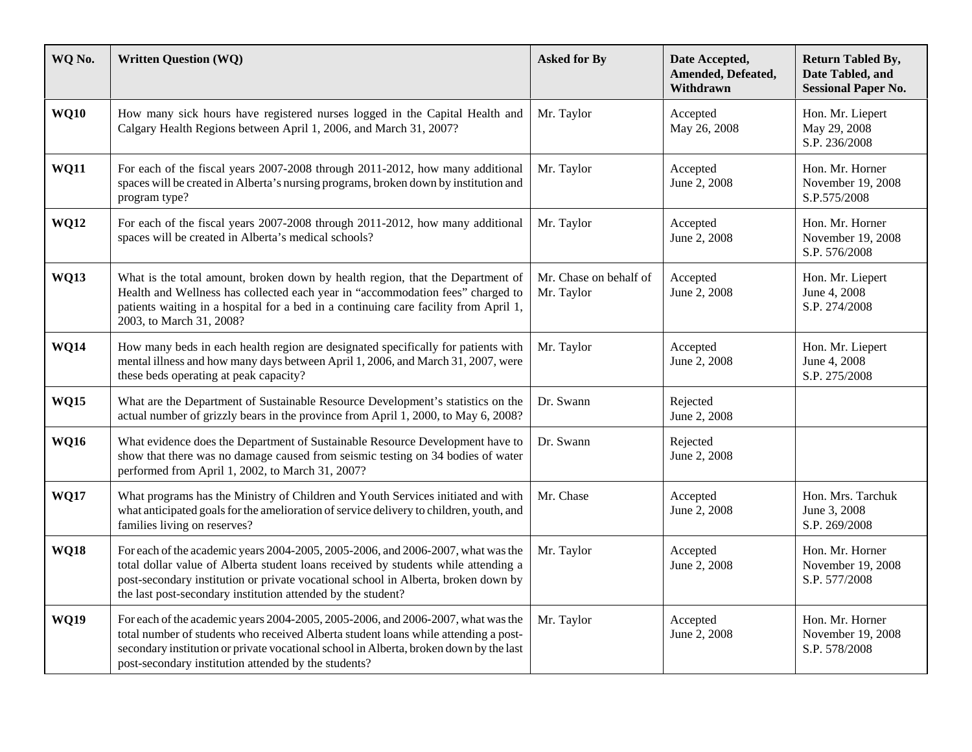| WQ No.      | <b>Written Question (WQ)</b>                                                                                                                                                                                                                                                                                                 | <b>Asked for By</b>                  | Date Accepted,<br>Amended, Defeated,<br>Withdrawn | <b>Return Tabled By,</b><br>Date Tabled, and<br><b>Sessional Paper No.</b> |
|-------------|------------------------------------------------------------------------------------------------------------------------------------------------------------------------------------------------------------------------------------------------------------------------------------------------------------------------------|--------------------------------------|---------------------------------------------------|----------------------------------------------------------------------------|
| <b>WQ10</b> | How many sick hours have registered nurses logged in the Capital Health and<br>Calgary Health Regions between April 1, 2006, and March 31, 2007?                                                                                                                                                                             | Mr. Taylor                           | Accepted<br>May 26, 2008                          | Hon. Mr. Liepert<br>May 29, 2008<br>S.P. 236/2008                          |
| <b>WQ11</b> | For each of the fiscal years 2007-2008 through 2011-2012, how many additional<br>spaces will be created in Alberta's nursing programs, broken down by institution and<br>program type?                                                                                                                                       | Mr. Taylor                           | Accepted<br>June 2, 2008                          | Hon. Mr. Horner<br>November 19, 2008<br>S.P.575/2008                       |
| <b>WQ12</b> | For each of the fiscal years 2007-2008 through 2011-2012, how many additional<br>spaces will be created in Alberta's medical schools?                                                                                                                                                                                        | Mr. Taylor                           | Accepted<br>June 2, 2008                          | Hon. Mr. Horner<br>November 19, 2008<br>S.P. 576/2008                      |
| <b>WQ13</b> | What is the total amount, broken down by health region, that the Department of<br>Health and Wellness has collected each year in "accommodation fees" charged to<br>patients waiting in a hospital for a bed in a continuing care facility from April 1,<br>2003, to March 31, 2008?                                         | Mr. Chase on behalf of<br>Mr. Taylor | Accepted<br>June 2, 2008                          | Hon. Mr. Liepert<br>June 4, 2008<br>S.P. 274/2008                          |
| <b>WQ14</b> | How many beds in each health region are designated specifically for patients with<br>mental illness and how many days between April 1, 2006, and March 31, 2007, were<br>these beds operating at peak capacity?                                                                                                              | Mr. Taylor                           | Accepted<br>June 2, 2008                          | Hon. Mr. Liepert<br>June 4, 2008<br>S.P. 275/2008                          |
| <b>WQ15</b> | What are the Department of Sustainable Resource Development's statistics on the<br>actual number of grizzly bears in the province from April 1, 2000, to May 6, 2008?                                                                                                                                                        | Dr. Swann                            | Rejected<br>June 2, 2008                          |                                                                            |
| <b>WQ16</b> | What evidence does the Department of Sustainable Resource Development have to<br>show that there was no damage caused from seismic testing on 34 bodies of water<br>performed from April 1, 2002, to March 31, 2007?                                                                                                         | Dr. Swann                            | Rejected<br>June 2, 2008                          |                                                                            |
| <b>WQ17</b> | What programs has the Ministry of Children and Youth Services initiated and with<br>what anticipated goals for the amelioration of service delivery to children, youth, and<br>families living on reserves?                                                                                                                  | Mr. Chase                            | Accepted<br>June 2, 2008                          | Hon. Mrs. Tarchuk<br>June 3, 2008<br>S.P. 269/2008                         |
| <b>WQ18</b> | For each of the academic years 2004-2005, 2005-2006, and 2006-2007, what was the<br>total dollar value of Alberta student loans received by students while attending a<br>post-secondary institution or private vocational school in Alberta, broken down by<br>the last post-secondary institution attended by the student? | Mr. Taylor                           | Accepted<br>June 2, 2008                          | Hon. Mr. Horner<br>November 19, 2008<br>S.P. 577/2008                      |
| <b>WQ19</b> | For each of the academic years 2004-2005, 2005-2006, and 2006-2007, what was the<br>total number of students who received Alberta student loans while attending a post-<br>secondary institution or private vocational school in Alberta, broken down by the last<br>post-secondary institution attended by the students?    | Mr. Taylor                           | Accepted<br>June 2, 2008                          | Hon. Mr. Horner<br>November 19, 2008<br>S.P. 578/2008                      |